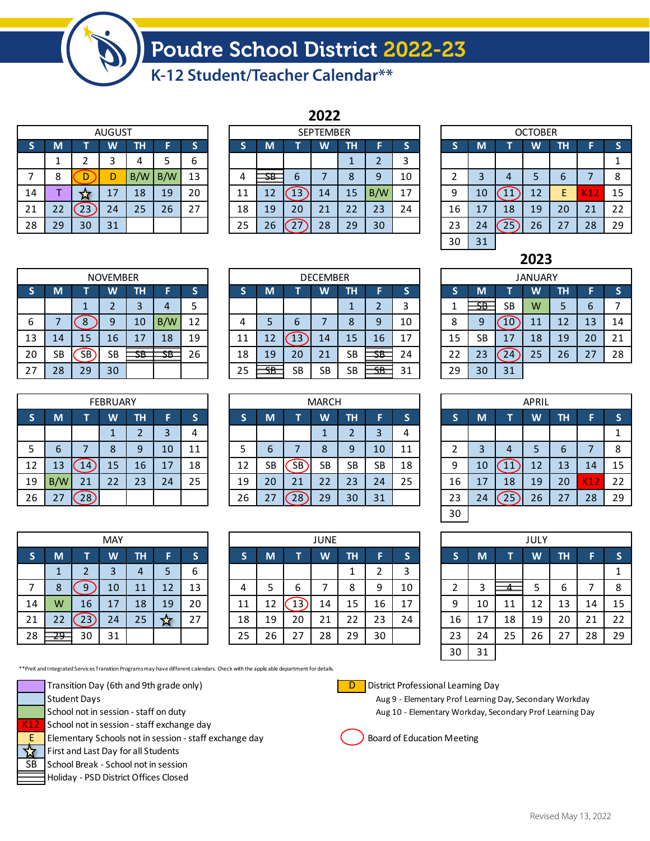## Poudre School District 2022-23

**K-12 Student/Teacher Calendar\*\***

| <b>AUGUST</b> |    |    |    |     |     |    |  |  |  |  |  |  |
|---------------|----|----|----|-----|-----|----|--|--|--|--|--|--|
| S             | M  |    | W  | TН  | F   | S  |  |  |  |  |  |  |
|               | 1  | 2  | 3  | 4   | 5   | 6  |  |  |  |  |  |  |
| 7             | 8  | D  | D  | B/W | B/W | 13 |  |  |  |  |  |  |
| 14            |    | ኔ  | 17 | 18  | 19  | 20 |  |  |  |  |  |  |
| 21            | 22 | 23 | 24 | 25  | 26  | 27 |  |  |  |  |  |  |
| 28            | 29 | 30 | 31 |     |     |    |  |  |  |  |  |  |

|    |    |    |               |     |     |    |                  |    |    | ZUZZ |    |     |    |                |    |    |    |    |     |    |  |
|----|----|----|---------------|-----|-----|----|------------------|----|----|------|----|-----|----|----------------|----|----|----|----|-----|----|--|
|    |    |    | <b>AUGUST</b> |     |     |    | <b>SEPTEMBER</b> |    |    |      |    |     |    | <b>OCTOBER</b> |    |    |    |    |     |    |  |
| S  | M  |    | W             | TН  |     |    |                  | M  |    | W    | ΤН |     |    |                | M. |    | W  | ΤН |     |    |  |
|    |    |    |               |     |     | b  |                  |    |    |      |    |     | ◠  |                |    |    |    |    |     |    |  |
|    | Ο  |    |               | B/W | B/W | 13 | Δ                | SB | 6  |      | 8  | 9   | 10 |                |    | 4  |    | b  |     | 8  |  |
| 14 |    | ы  | 17            | 18  | 19  | 20 | 11               | 12 | L3 | 14   | 15 | B/W | 17 | 9              | 10 |    | 12 | ь  | KІZ | 15 |  |
| 21 | 22 | 23 | 24            | 25  | 26  | 27 | 18               | 19 | 20 | 21   | 22 | 23  | 24 | 16             |    | 18 | 19 | 20 | 21  | 22 |  |
| 28 | 29 | 30 | 31            |     |     |    | 25               | 26 |    | 28   | 29 | 30  |    | 23             | 24 | 25 | 26 | 27 | 28  | 29 |  |
|    |    |    |               |     |     |    |                  |    |    |      |    |     |    |                |    |    |    |    |     |    |  |

**2022**

| <b>OCTOBER</b> |    |                   |    |    |     |    |  |  |  |  |  |  |  |
|----------------|----|-------------------|----|----|-----|----|--|--|--|--|--|--|--|
| S              | M  | ΤН<br>S<br>W<br>F |    |    |     |    |  |  |  |  |  |  |  |
|                |    |                   |    |    |     | 1  |  |  |  |  |  |  |  |
| 2              | 3  | 4                 | 5  | 6  | 7   | 8  |  |  |  |  |  |  |  |
| 9              | 10 | 11                | 12 | E  | K12 | 15 |  |  |  |  |  |  |  |
| 16             | 17 | 18                | 19 | 20 | 21  | 22 |  |  |  |  |  |  |  |
| 23             | 24 | 25                | 26 | 27 | 28  | 29 |  |  |  |  |  |  |  |
| 30             | 31 |                   |    |    |     |    |  |  |  |  |  |  |  |

| <b>NOVEMBER</b> |           |                   |           |                          |               |    |  |  |  |  |  |  |  |
|-----------------|-----------|-------------------|-----------|--------------------------|---------------|----|--|--|--|--|--|--|--|
| S               | M         | TН<br>S<br>W<br>F |           |                          |               |    |  |  |  |  |  |  |  |
|                 |           | 1                 | 2         | 3                        |               | 5  |  |  |  |  |  |  |  |
| 6               | 7         | 8                 | 9         | 10                       | B/W           | 12 |  |  |  |  |  |  |  |
| 13              | 14        | 15                | 16        | 17                       | 18            | 19 |  |  |  |  |  |  |  |
| 20              | <b>SB</b> | <b>SB</b>         | <b>SB</b> | $\overline{\textbf{SB}}$ | <del>SВ</del> | 26 |  |  |  |  |  |  |  |
| 27              | 28        | 29                | 30        |                          |               |    |  |  |  |  |  |  |  |

|    |    |    | <b>NOVEMBER</b> |              |               |    | <b>DECEMBER</b> |                |    |           |           |               |    | <b>JANUARY</b> |    |     |           |    |    |    |    |
|----|----|----|-----------------|--------------|---------------|----|-----------------|----------------|----|-----------|-----------|---------------|----|----------------|----|-----|-----------|----|----|----|----|
| э  | M  |    | W               | TН           |               |    |                 | M              |    | W         | ΤН        |               |    |                |    | M   |           | W  | ΤН |    |    |
|    |    |    |                 |              | 4             |    |                 |                |    |           |           |               |    |                |    | SB. | <b>SB</b> | w  |    | b  |    |
| 6  |    |    | O               | 10           | B/W           | 12 | $\mathbf{u}$    |                | b  |           | ŏ         | 9             | 10 |                | с  | a   | .0        | 11 | 12 | 13 | 14 |
| 13 | 14 | 15 | 16 <sup>′</sup> | 17           | 18            | 19 |                 | 12             | L5 | 14        | 15        | 16            | 17 |                | 15 | SB  | 17        | 18 | 19 | 20 | 21 |
| 20 | SB | SB | <b>SB</b>       | $\sim$<br>סכ | $\sim$<br>ת ה | 26 | 18              | 19             | 20 | 21        | <b>SB</b> | <del>SB</del> | 24 |                | 22 | 23  | 24        | 25 | 26 | 27 | 28 |
| 27 | 28 | 29 | 30              |              |               |    | 25              | <b>CD</b><br>ᡂ | SB | <b>SB</b> | <b>SB</b> | CD<br>ᡂ       | 31 |                | 29 | 30  | 31        |    |    |    |    |

|              | <b>FEBRUARY</b>                    |    |    |    |    |    |  |  |  |  |  |  |
|--------------|------------------------------------|----|----|----|----|----|--|--|--|--|--|--|
| $\mathsf{s}$ | W<br>M<br><b>TH</b><br>S<br>F<br>т |    |    |    |    |    |  |  |  |  |  |  |
|              |                                    |    | 1  | 2  | 3  |    |  |  |  |  |  |  |
| 5            | 6                                  |    | 8  | 9  | 10 | 11 |  |  |  |  |  |  |
| 12           | 13                                 | 14 | 15 | 16 | 17 | 18 |  |  |  |  |  |  |
| 19           | B/W                                | 21 | 22 | 23 | 24 | 25 |  |  |  |  |  |  |
| 26           | 27                                 | 28 |    |    |    |    |  |  |  |  |  |  |

| MAY          |    |                |    |           |    |    |  |  |  |  |  |  |
|--------------|----|----------------|----|-----------|----|----|--|--|--|--|--|--|
| $\mathsf{s}$ | M  | T              | W  | <b>TH</b> | F  | S  |  |  |  |  |  |  |
|              | 1  | $\overline{2}$ | 3  | 4         | 5  | 6  |  |  |  |  |  |  |
| 7            | 8  | 9              | 10 | 11        | 12 | 13 |  |  |  |  |  |  |
| 14           | W  | 16             | 17 | 18        | 19 | 20 |  |  |  |  |  |  |
| 21           | 22 | 23             | 24 | 25        |    | 27 |  |  |  |  |  |  |
| 28           |    | 30             | 31 |           |    |    |  |  |  |  |  |  |

**S M T W TH F S S M T W TH F S S M T W TH F S** 1 2 3 4 1 1 1 2 3 4 1 1 1 1 1 1 5 6 7 8 9 10 11 5 6 7 8 9 10 11 2 3 4 5 6 7 8 12 | 13 | (14)| 15 | 16 | 17 | 18 | | 12 | SB |(SB)| SB | SB | SB | 18 | | 9 | 10 |(11)| 12 | 13 | 14 | 15 19 <mark>B/W|</mark> 21 | 22 | 23 | 24 | 25 | | 19 | 20 | 21 | 22 | 23 | 24 | 25 | | 16 | 17 | 18 | 19 | 20 <mark>| K12 |</mark> 22 26 27 (28) | | | | 26 | 27 (28) | 29 | 30 | 31 | | | | | | | 23 | | 24 (25) | 26 | 27 | 28 | 29 MARCH

|    |        |    | <b>MAY</b>              |    |    |    | JUNE |    |                 |    |    |    | JULY |    |    |    |    |    |    |    |
|----|--------|----|-------------------------|----|----|----|------|----|-----------------|----|----|----|------|----|----|----|----|----|----|----|
| S  | M      |    | $\overline{\mathsf{W}}$ | TН |    |    |      | M  | ╾               | W  | ΤН |    |      | э  | M. |    | W  | ΤН |    |    |
|    |        |    |                         | 4  |    | b  |      |    |                 |    |    | ◠  | ∍    |    |    |    |    |    |    |    |
| ⇁  | Ο<br>Ο |    | 10                      | 11 | 12 | 13 | 4    |    | ь               |    | 8  | 9  | 10   |    |    |    |    | b  |    | 8  |
| 14 | W      | 16 | 17                      | 18 | 19 | 20 |      | 12 | 13 <sup>-</sup> | 14 | 15 | 16 | 17   | 9  | 10 | 11 | 12 | 13 | 14 | 15 |
| 21 | 22     | 23 | 24                      | 25 | ≭  | 27 | 18   | 19 | 20              | 21 | 22 | 23 | 24   | 16 |    | 18 | 19 | 20 | 21 | 22 |
| 28 | $29 -$ | 30 | 31                      |    |    |    | 25   | 26 | 27              | 28 | 29 | 30 |      | 23 | 24 | 25 | 26 | 27 | 28 | 29 |

| APRIL        |    |                          |    |    |     |    |  |  |  |  |  |
|--------------|----|--------------------------|----|----|-----|----|--|--|--|--|--|
| $\mathsf{s}$ | M  | <b>TH</b><br>W<br>S<br>F |    |    |     |    |  |  |  |  |  |
|              |    |                          |    |    |     | 1  |  |  |  |  |  |
| 2            | 3  |                          | 5  | 6  |     | 8  |  |  |  |  |  |
| 9            | 10 | 11                       | 12 | 13 | 14  | 15 |  |  |  |  |  |
| 16           | 17 | 18                       | 19 | 20 | K12 | 22 |  |  |  |  |  |
| 23           | 24 | 25                       | 26 | 27 | 28  | 29 |  |  |  |  |  |
| 30           |    |                          |    |    |     |    |  |  |  |  |  |

| JULY           |    |    |    |           |    |              |  |  |  |  |
|----------------|----|----|----|-----------|----|--------------|--|--|--|--|
| $\mathsf{s}$   | M  | т  | W  | <b>TH</b> | F  | $\mathsf{s}$ |  |  |  |  |
|                |    |    |    |           |    | 1            |  |  |  |  |
| $\overline{2}$ | 3  | 4  | 5  | 6         |    | 8            |  |  |  |  |
| 9              | 10 | 11 | 12 | 13        | 14 | 15           |  |  |  |  |
| 16             | 17 | 18 | 19 | 20        | 21 | 22           |  |  |  |  |
| 23             | 24 | 25 | 26 | 27        | 28 | 29           |  |  |  |  |
| 30             | 31 |    |    |           |    |              |  |  |  |  |

\*\*PreK and Integrated Services Transition Programs may have different calendars. Check with the applicable department for details.

Transition Day (6th and 9th grade only) District Professional Learning Day



K12 School not in session - staff exchange day

E Elementary Schools not in session - staff exchange day  $\left($ ) Board of Education Meeting

First and Last Day for all Students

SB School Break - School not in session

Holiday - PSD District Offices Closed



Student Days **Aug 9 - Elementary Prof Learning Day, Secondary Workday** School not in session - staff on duty Aug 10 - Elementary Workday, Secondary Prof Learning Day